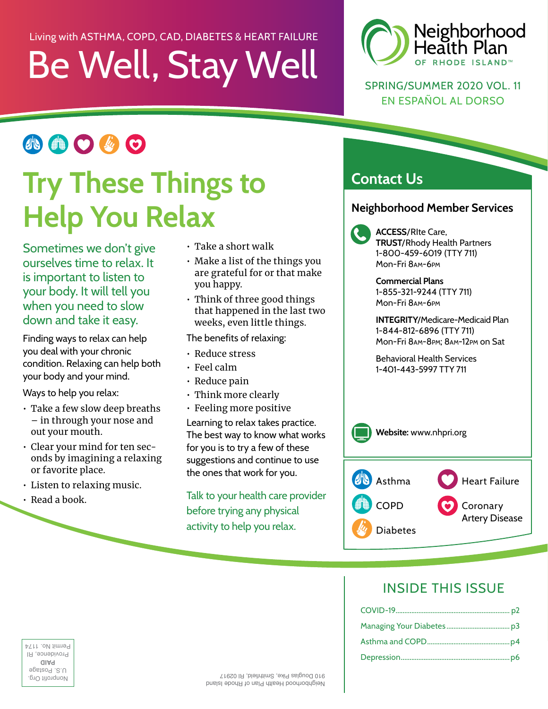### Be Well, Stay Well Living with ASTHMA, COPD, CAD, DIABETES & HEART FAILURE



SPRING/SUMMER 2020 VOL. 11 EN ESPAÑOL AL DORSO

### 小曲〇必〇 **Try These Things to Help You Relax**

Sometimes we don't give ourselves time to relax. It is important to listen to your body. It will tell you when you need to slow down and take it easy.

Finding ways to relax can help you deal with your chronic condition. Relaxing can help both your body and your mind.

Ways to help you relax:

- Take a few slow deep breaths – in through your nose and out your mouth.
- Clear your mind for ten seconds by imagining a relaxing or favorite place.
- Listen to relaxing music.
- Read a book.
- Take a short walk
- Make a list of the things you are grateful for or that make you happy.
- Think of three good things that happened in the last two weeks, even little things.

The benefits of relaxing:

- Reduce stress
- Feel calm
- Reduce pain
- Think more clearly
- Feeling more positive

Learning to relax takes practice. The best way to know what works for you is to try a few of these suggestions and continue to use the ones that work for you.

Talk to your health care provider before trying any physical activity to help you relax.

#### **Contact Us**

#### **Neighborhood Member Services**

**ACCESS**/RIte Care, **TRUST**/Rhody Health Partners 1-800-459-6019 (TTY 711) Mon-Fri 8am-6pm

**Commercial Plans** 1-855-321-9244 (TTY 711) Mon-Fri 8am-6pm

**INTEGRITY**/Medicare-Medicaid Plan 1-844-812-6896 (TTY 711) Mon-Fri 8am-8pm; 8am-12pm on Sat

Behavioral Health Services 1-401-443-5997 TTY 711



#### INSIDE THIS ISSUE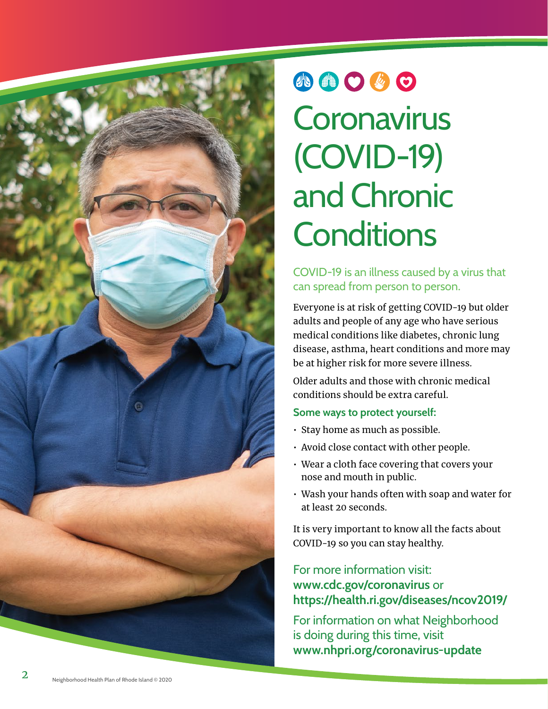

## 小曲〇必〇 **Coronavirus** (COVID-19) and Chronic **Conditions**

#### COVID-19 is an illness caused by a virus that can spread from person to person.

Everyone is at risk of getting COVID-19 but older adults and people of any age who have serious medical conditions like diabetes, chronic lung disease, asthma, heart conditions and more may be at higher risk for more severe illness.

Older adults and those with chronic medical conditions should be extra careful.

#### **Some ways to protect yourself:**

- Stay home as much as possible.
- Avoid close contact with other people.
- Wear a cloth face covering that covers your nose and mouth in public.
- Wash your hands often with soap and water for at least 20 seconds.

It is very important to know all the facts about COVID-19 so you can stay healthy.

#### For more information visit: **www.cdc.gov/coronavirus** or **<https://health.ri.gov/diseases/ncov2019/>**

For information on what Neighborhood is doing during this time, visit **[www.nhpri.org/coronavirus-update](http://www.nhpri.org/coronavirus-update)**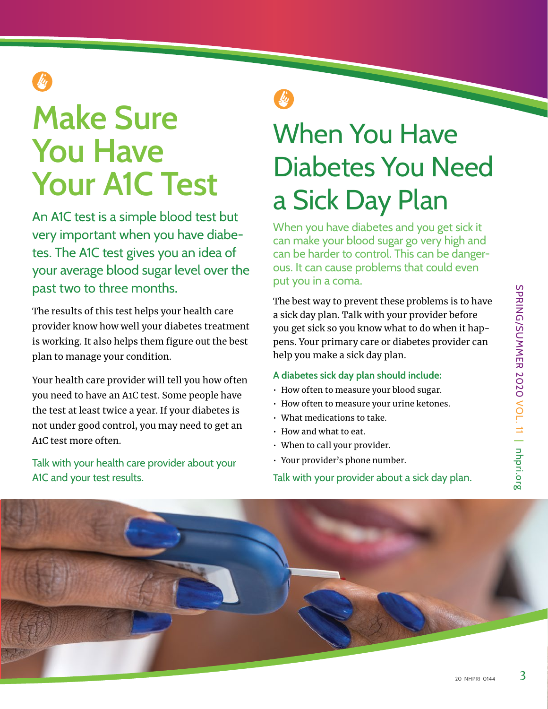## **Make Sure You Have Your A1C Test**

An A1C test is a simple blood test but very important when you have diabetes. The A1C test gives you an idea of your average blood sugar level over the past two to three months.

The results of this test helps your health care provider know how well your diabetes treatment is working. It also helps them figure out the best plan to manage your condition.

Your health care provider will tell you how often you need to have an A1C test. Some people have the test at least twice a year. If your diabetes is not under good control, you may need to get an A1C test more often.

Talk with your health care provider about your A1C and your test results.



### When You Have Diabetes You Need a Sick Day Plan

When you have diabetes and you get sick it can make your blood sugar go very high and can be harder to control. This can be dangerous. It can cause problems that could even put you in a coma.

The best way to prevent these problems is to have a sick day plan. Talk with your provider before you get sick so you know what to do when it happens. Your primary care or diabetes provider can help you make a sick day plan.

#### **A diabetes sick day plan should include:**

- How often to measure your blood sugar.
- How often to measure your urine ketones.
- What medications to take.
- How and what to eat.
- When to call your provider.
- Your provider's phone number.

Talk with your provider about a sick day plan.

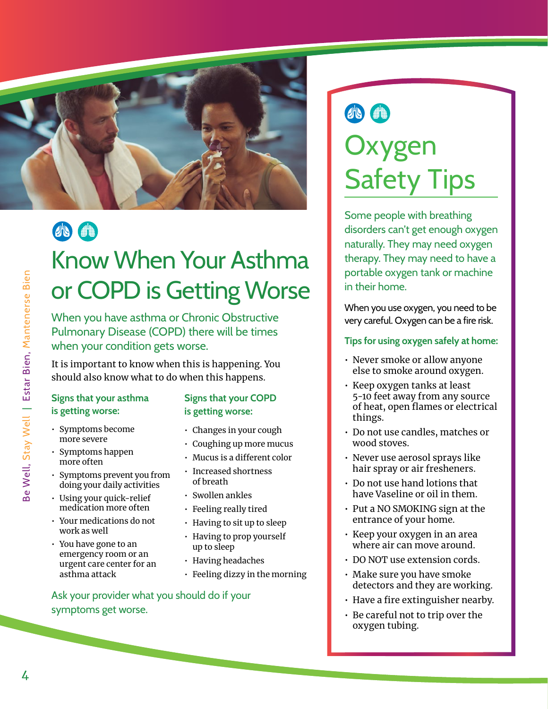

## 小曲

### Know When Your Asthma or COPD is Getting Worse

When you have asthma or Chronic Obstructive Pulmonary Disease (COPD) there will be times when your condition gets worse.

It is important to know when this is happening. You should also know what to do when this happens.

#### **Signs that your asthma is getting worse:**

- Symptoms become more severe
- Symptoms happen more often
- Symptoms prevent you from doing your daily activities
- Using your quick-relief medication more often
- Your medications do not work as well
- You have gone to an emergency room or an urgent care center for an asthma attack

#### **Signs that your COPD is getting worse:**

- Changes in your cough
- Coughing up more mucus
- Mucus is a different color
- Increased shortness of breath
- Swollen ankles
- Feeling really tired
- Having to sit up to sleep
- Having to prop yourself up to sleep
- Having headaches
- Feeling dizzy in the morning

Ask your provider what you should do if your symptoms get worse.

# **do de**<br>Oxygen Safety Tips

Some people with breathing disorders can't get enough oxygen naturally. They may need oxygen therapy. They may need to have a portable oxygen tank or machine in their home.

When you use oxygen, you need to be very careful. Oxygen can be a fire risk.

#### **Tips for using oxygen safely at home:**

- Never smoke or allow anyone else to smoke around oxygen.
- Keep oxygen tanks at least 5-10 feet away from any source of heat, open flames or electrical things.
- Do not use candles, matches or wood stoves.
- Never use aerosol sprays like hair spray or air fresheners.
- Do not use hand lotions that have Vaseline or oil in them.
- Put a NO SMOKING sign at the entrance of your home.
- Keep your oxygen in an area where air can move around.
- DO NOT use extension cords.
- Make sure you have smoke detectors and they are working.
- Have a fire extinguisher nearby.
- Be careful not to trip over the oxygen tubing.

Be Well, Stay Well | Estar Bien, Mantenerse Bien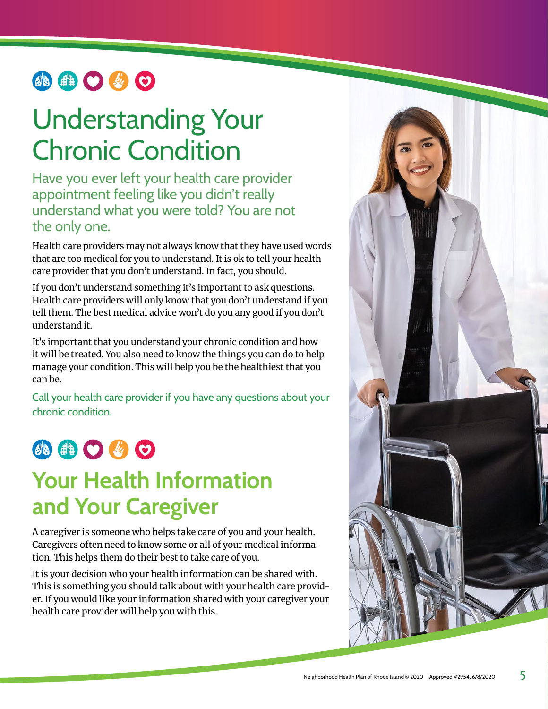### 小曲〇步〇

### Understanding Your Chronic Condition

Have you ever left your health care provider appointment feeling like you didn't really understand what you were told? You are not the only one.

Health care providers may not always know that they have used words that are too medical for you to understand. It is ok to tell your health care provider that you don't understand. In fact, you should.

If you don't understand something it's important to ask questions. Health care providers will only know that you don't understand if you tell them. The best medical advice won't do you any good if you don't understand it.

It's important that you understand your chronic condition and how it will be treated. You also need to know the things you can do to help manage your condition. This will help you be the healthiest that you can be.

Call your health care provider if you have any questions about your chronic condition.

### 小曲〇步〇

### **Your Health Information and Your Caregiver**

A caregiver is someone who helps take care of you and your health. Caregivers often need to know some or all of your medical information. This helps them do their best to take care of you.

It is your decision who your health information can be shared with. This is something you should talk about with your health care provider. If you would like your information shared with your caregiver your health care provider will help you with this.